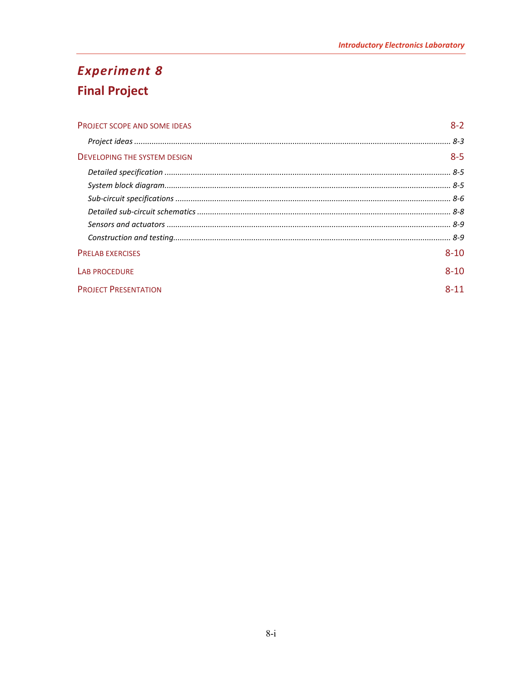# **Experiment 8 Final Project**

| <b>PROJECT SCOPE AND SOME IDEAS</b> | $8-2$    |
|-------------------------------------|----------|
|                                     |          |
| <b>DEVELOPING THE SYSTEM DESIGN</b> | $8 - 5$  |
|                                     |          |
|                                     |          |
|                                     |          |
|                                     |          |
|                                     |          |
|                                     |          |
| <b>PRELAB EXERCISES</b>             | $8 - 10$ |
| <b>LAB PROCEDURE</b>                | $8 - 10$ |
| <b>PROJECT PRESENTATION</b>         | $8 - 11$ |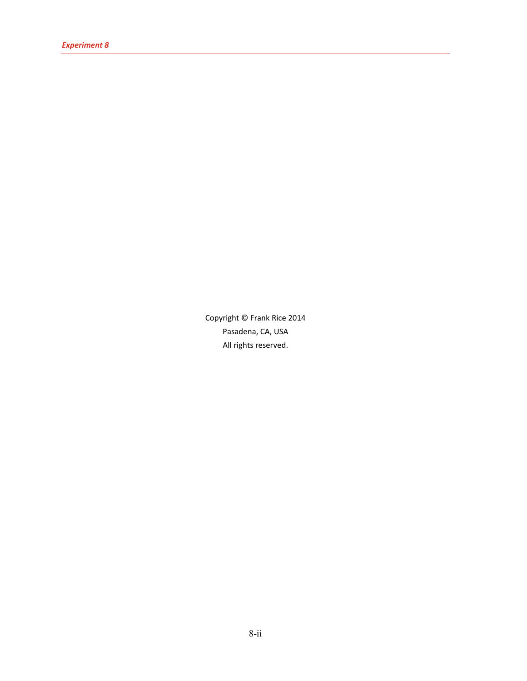Copyright © Frank Rice 2014 Pasadena, CA, USA All rights reserved.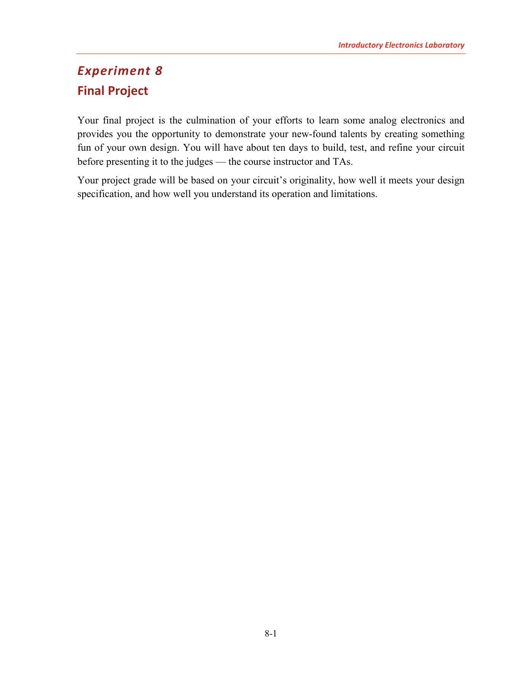## <span id="page-2-0"></span>*Experiment 8* **Final Project**

Your final project is the culmination of your efforts to learn some analog electronics and provides you the opportunity to demonstrate your new-found talents by creating something fun of your own design. You will have about ten days to build, test, and refine your circuit before presenting it to the judges — the course instructor and TAs.

Your project grade will be based on your circuit's originality, how well it meets your design specification, and how well you understand its operation and limitations.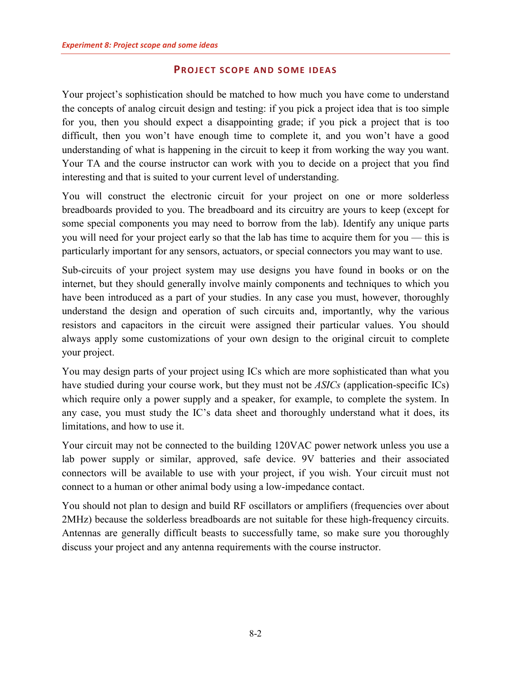#### **PROJECT SCOPE AND SOME IDEAS**

<span id="page-3-0"></span>Your project's sophistication should be matched to how much you have come to understand the concepts of analog circuit design and testing: if you pick a project idea that is too simple for you, then you should expect a disappointing grade; if you pick a project that is too difficult, then you won't have enough time to complete it, and you won't have a good understanding of what is happening in the circuit to keep it from working the way you want. Your TA and the course instructor can work with you to decide on a project that you find interesting and that is suited to your current level of understanding.

You will construct the electronic circuit for your project on one or more solderless breadboards provided to you. The breadboard and its circuitry are yours to keep (except for some special components you may need to borrow from the lab). Identify any unique parts you will need for your project early so that the lab has time to acquire them for you — this is particularly important for any sensors, actuators, or special connectors you may want to use.

Sub-circuits of your project system may use designs you have found in books or on the internet, but they should generally involve mainly components and techniques to which you have been introduced as a part of your studies. In any case you must, however, thoroughly understand the design and operation of such circuits and, importantly, why the various resistors and capacitors in the circuit were assigned their particular values. You should always apply some customizations of your own design to the original circuit to complete your project.

You may design parts of your project using ICs which are more sophisticated than what you have studied during your course work, but they must not be *ASICs* (application-specific ICs) which require only a power supply and a speaker, for example, to complete the system. In any case, you must study the IC's data sheet and thoroughly understand what it does, its limitations, and how to use it.

Your circuit may not be connected to the building 120VAC power network unless you use a lab power supply or similar, approved, safe device. 9V batteries and their associated connectors will be available to use with your project, if you wish. Your circuit must not connect to a human or other animal body using a low-impedance contact.

You should not plan to design and build RF oscillators or amplifiers (frequencies over about 2MHz) because the solderless breadboards are not suitable for these high-frequency circuits. Antennas are generally difficult beasts to successfully tame, so make sure you thoroughly discuss your project and any antenna requirements with the course instructor.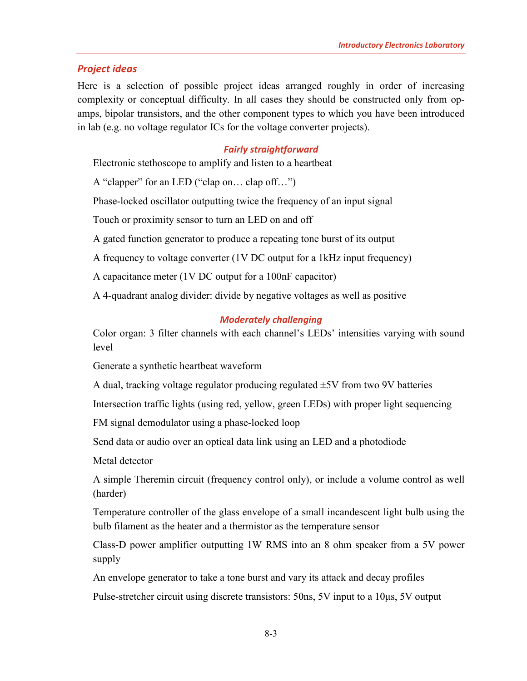#### <span id="page-4-0"></span>*Project ideas*

Here is a selection of possible project ideas arranged roughly in order of increasing complexity or conceptual difficulty. In all cases they should be constructed only from opamps, bipolar transistors, and the other component types to which you have been introduced in lab (e.g. no voltage regulator ICs for the voltage converter projects).

#### *Fairly straightforward*

Electronic stethoscope to amplify and listen to a heartbeat

A "clapper" for an LED ("clap on… clap off…")

Phase-locked oscillator outputting twice the frequency of an input signal

Touch or proximity sensor to turn an LED on and off

A gated function generator to produce a repeating tone burst of its output

A frequency to voltage converter (1V DC output for a 1kHz input frequency)

A capacitance meter (1V DC output for a 100nF capacitor)

A 4-quadrant analog divider: divide by negative voltages as well as positive

#### *Moderately challenging*

Color organ: 3 filter channels with each channel's LEDs' intensities varying with sound level

Generate a synthetic heartbeat waveform

A dual, tracking voltage regulator producing regulated  $\pm$ 5V from two 9V batteries

Intersection traffic lights (using red, yellow, green LEDs) with proper light sequencing

FM signal demodulator using a phase-locked loop

Send data or audio over an optical data link using an LED and a photodiode

Metal detector

A simple Theremin circuit (frequency control only), or include a volume control as well (harder)

Temperature controller of the glass envelope of a small incandescent light bulb using the bulb filament as the heater and a thermistor as the temperature sensor

Class-D power amplifier outputting 1W RMS into an 8 ohm speaker from a 5V power supply

An envelope generator to take a tone burst and vary its attack and decay profiles

Pulse-stretcher circuit using discrete transistors: 50ns, 5V input to a 10μs, 5V output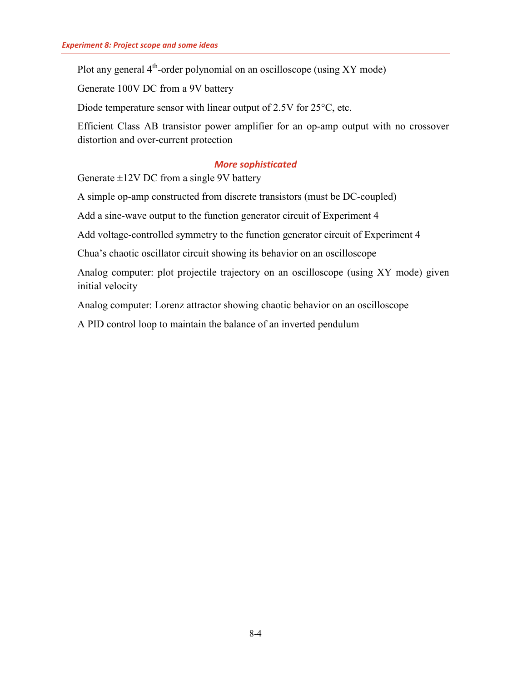Plot any general  $4<sup>th</sup>$ -order polynomial on an oscilloscope (using XY mode)

Generate 100V DC from a 9V battery

Diode temperature sensor with linear output of 2.5V for 25<sup>o</sup>C, etc.

Efficient Class AB transistor power amplifier for an op-amp output with no crossover distortion and over-current protection

#### *More sophisticated*

Generate  $\pm$ 12V DC from a single 9V battery

A simple op-amp constructed from discrete transistors (must be DC-coupled)

Add a sine-wave output to the function generator circuit of Experiment 4

Add voltage-controlled symmetry to the function generator circuit of Experiment 4

Chua's chaotic oscillator circuit showing its behavior on an oscilloscope

Analog computer: plot projectile trajectory on an oscilloscope (using XY mode) given initial velocity

Analog computer: Lorenz attractor showing chaotic behavior on an oscilloscope

A PID control loop to maintain the balance of an inverted pendulum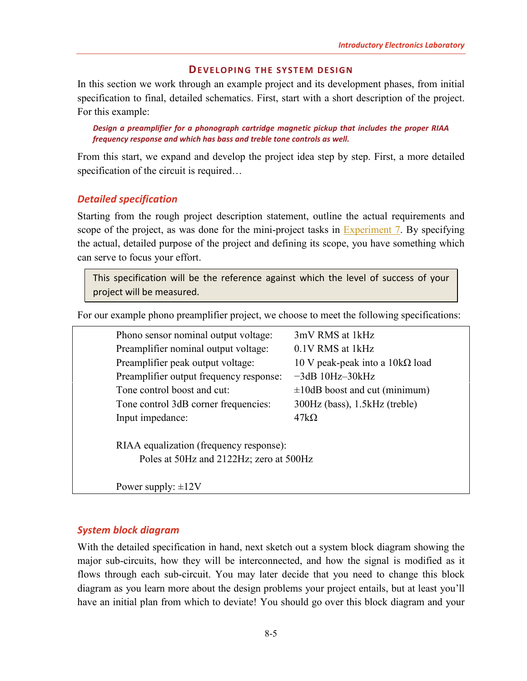#### **DEVELOPING THE SYSTEM DESIGN**

<span id="page-6-0"></span>In this section we work through an example project and its development phases, from initial specification to final, detailed schematics. First, start with a short description of the project. For this example:

*Design a preamplifier for a phonograph cartridge magnetic pickup that includes the proper RIAA frequency response and which has bass and treble tone controls as well.*

From this start, we expand and develop the project idea step by step. First, a more detailed specification of the circuit is required...

#### <span id="page-6-1"></span>*Detailed specification*

Starting from the rough project description statement, outline the actual requirements and scope of the project, as was done for the mini-project tasks in [Experiment 7.](http://www.sophphx.caltech.edu/Physics_5/Experiment_7.pdf) By specifying the actual, detailed purpose of the project and defining its scope, you have something which can serve to focus your effort.

This specification will be the reference against which the level of success of your project will be measured.

For our example phono preamplifier project, we choose to meet the following specifications:

|  | Phono sensor nominal output voltage:                                               | 3mV RMS at 1kHz                        |  |
|--|------------------------------------------------------------------------------------|----------------------------------------|--|
|  | Preamplifier nominal output voltage:                                               | 0.1V RMS at 1kHz                       |  |
|  | Preamplifier peak output voltage:                                                  | 10 V peak-peak into a $10k\Omega$ load |  |
|  | Preamplifier output frequency response:                                            | $-3dB$ 10Hz $-30kHz$                   |  |
|  | Tone control boost and cut:                                                        | $\pm 10$ dB boost and cut (minimum)    |  |
|  | Tone control 3dB corner frequencies:                                               | 300Hz (bass), 1.5kHz (treble)          |  |
|  | Input impedance:                                                                   | $47k\Omega$                            |  |
|  | RIAA equalization (frequency response):<br>Poles at 50Hz and 2122Hz; zero at 500Hz |                                        |  |
|  |                                                                                    |                                        |  |
|  | Power supply: $\pm 12V$                                                            |                                        |  |

#### <span id="page-6-2"></span>*System block diagram*

With the detailed specification in hand, next sketch out a system block diagram showing the major sub-circuits, how they will be interconnected, and how the signal is modified as it flows through each sub-circuit. You may later decide that you need to change this block diagram as you learn more about the design problems your project entails, but at least you'll have an initial plan from which to deviate! You should go over this block diagram and your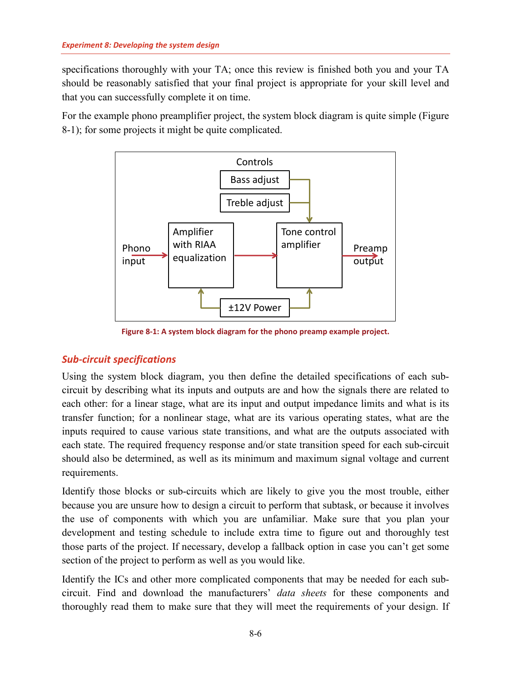specifications thoroughly with your TA; once this review is finished both you and your TA should be reasonably satisfied that your final project is appropriate for your skill level and that you can successfully complete it on time.

For the example phono preamplifier project, the system block diagram is quite simple [\(Figure](#page-7-1)  [8-1\)](#page-7-1); for some projects it might be quite complicated.



**Figure 8-1: A system block diagram for the phono preamp example project.**

### <span id="page-7-1"></span><span id="page-7-0"></span>*Sub-circuit specifications*

Using the system block diagram, you then define the detailed specifications of each subcircuit by describing what its inputs and outputs are and how the signals there are related to each other: for a linear stage, what are its input and output impedance limits and what is its transfer function; for a nonlinear stage, what are its various operating states, what are the inputs required to cause various state transitions, and what are the outputs associated with each state. The required frequency response and/or state transition speed for each sub-circuit should also be determined, as well as its minimum and maximum signal voltage and current requirements.

Identify those blocks or sub-circuits which are likely to give you the most trouble, either because you are unsure how to design a circuit to perform that subtask, or because it involves the use of components with which you are unfamiliar. Make sure that you plan your development and testing schedule to include extra time to figure out and thoroughly test those parts of the project. If necessary, develop a fallback option in case you can't get some section of the project to perform as well as you would like.

Identify the ICs and other more complicated components that may be needed for each subcircuit. Find and download the manufacturers' *data sheets* for these components and thoroughly read them to make sure that they will meet the requirements of your design. If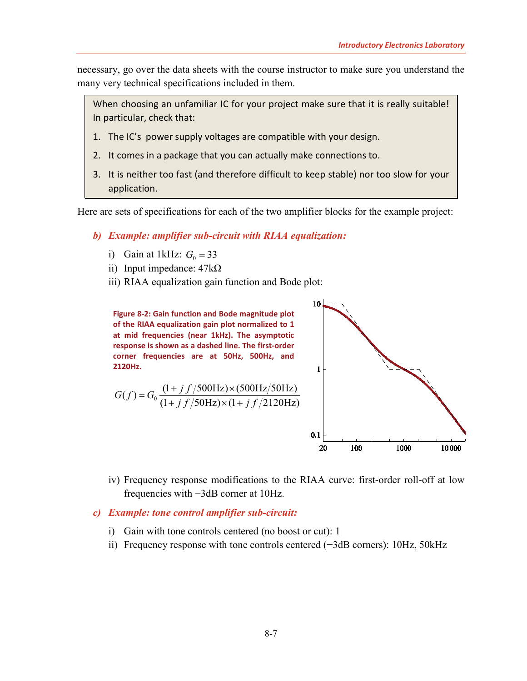necessary, go over the data sheets with the course instructor to make sure you understand the many very technical specifications included in them.

When choosing an unfamiliar IC for your project make sure that it is really suitable! In particular, check that:

- 1. The IC's power supply voltages are compatible with your design.
- 2. It comes in a package that you can actually make connections to.
- 3. It is neither too fast (and therefore difficult to keep stable) nor too slow for your application.

Here are sets of specifications for each of the two amplifier blocks for the example project:

- *b) Example: amplifier sub-circuit with RIAA equalization:*
	- i) Gain at 1kHz:  $G_0 = 33$
	- ii) Input impedance:  $47k\Omega$
	- iii) RIAA equalization gain function and Bode plot:

**Figure 8-2: Gain function and Bode magnitude plot of the RIAA equalization gain plot normalized to 1 at mid frequencies (near 1kHz). The asymptotic response is shown as a dashed line. The first-order corner frequencies are at 50Hz, 500Hz, and 2120Hz.**

$$
G(f) = G_0 \frac{(1+j f/500 \text{Hz}) \times (500 \text{Hz}/50 \text{Hz})}{(1+j f/50 \text{Hz}) \times (1+j f/2120 \text{Hz})}
$$



- iv) Frequency response modifications to the RIAA curve: first-order roll-off at low frequencies with −3dB corner at 10Hz.
- *c) Example: tone control amplifier sub-circuit:*
	- i) Gain with tone controls centered (no boost or cut): 1
	- ii) Frequency response with tone controls centered (−3dB corners): 10Hz, 50kHz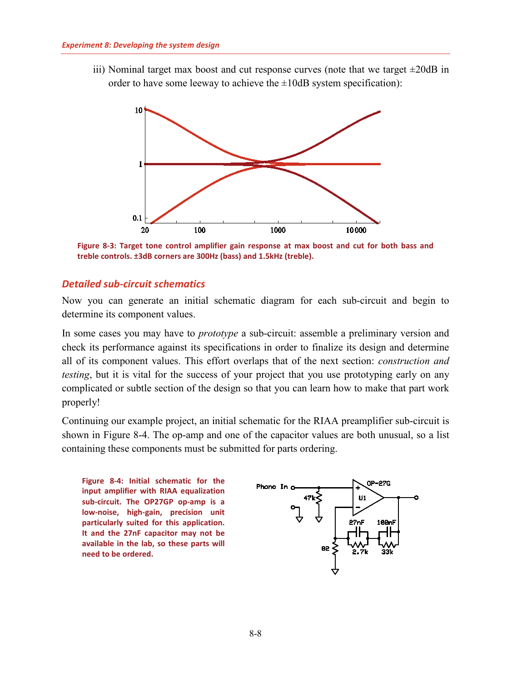iii) Nominal target max boost and cut response curves (note that we target  $\pm 20$ dB in order to have some leeway to achieve the  $\pm 10$ dB system specification):



**Figure 8-3: Target tone control amplifier gain response at max boost and cut for both bass and treble controls. ±3dB corners are 300Hz (bass) and 1.5kHz (treble).**

#### <span id="page-9-0"></span>*Detailed sub-circuit schematics*

Now you can generate an initial schematic diagram for each sub-circuit and begin to determine its component values.

In some cases you may have to *prototype* a sub-circuit: assemble a preliminary version and check its performance against its specifications in order to finalize its design and determine all of its component values. This effort overlaps that of the next section: *construction and testing*, but it is vital for the success of your project that you use prototyping early on any complicated or subtle section of the design so that you can learn how to make that part work properly!

Continuing our example project, an initial schematic for the RIAA preamplifier sub-circuit is shown in [Figure 8-4.](#page-9-1) The op-amp and one of the capacitor values are both unusual, so a list containing these components must be submitted for parts ordering.

<span id="page-9-1"></span>**Figure 8-4: Initial schematic for the input amplifier with RIAA equalization sub-circuit. The OP27GP op-amp is a low-noise, high-gain, precision unit particularly suited for this application. It and the 27nF capacitor may not be available in the lab, so these parts will need to be ordered.**

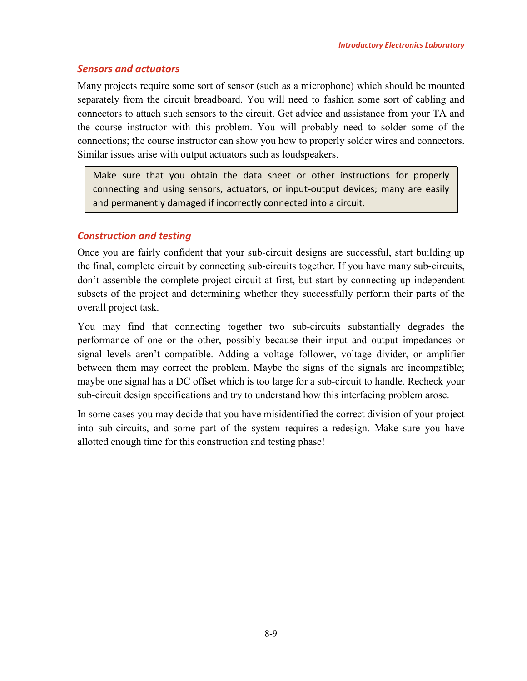#### <span id="page-10-0"></span>*Sensors and actuators*

Many projects require some sort of sensor (such as a microphone) which should be mounted separately from the circuit breadboard. You will need to fashion some sort of cabling and connectors to attach such sensors to the circuit. Get advice and assistance from your TA and the course instructor with this problem. You will probably need to solder some of the connections; the course instructor can show you how to properly solder wires and connectors. Similar issues arise with output actuators such as loudspeakers.

Make sure that you obtain the data sheet or other instructions for properly connecting and using sensors, actuators, or input-output devices; many are easily and permanently damaged if incorrectly connected into a circuit.

#### <span id="page-10-1"></span>*Construction and testing*

Once you are fairly confident that your sub-circuit designs are successful, start building up the final, complete circuit by connecting sub-circuits together. If you have many sub-circuits, don't assemble the complete project circuit at first, but start by connecting up independent subsets of the project and determining whether they successfully perform their parts of the overall project task.

You may find that connecting together two sub-circuits substantially degrades the performance of one or the other, possibly because their input and output impedances or signal levels aren't compatible. Adding a voltage follower, voltage divider, or amplifier between them may correct the problem. Maybe the signs of the signals are incompatible; maybe one signal has a DC offset which is too large for a sub-circuit to handle. Recheck your sub-circuit design specifications and try to understand how this interfacing problem arose.

In some cases you may decide that you have misidentified the correct division of your project into sub-circuits, and some part of the system requires a redesign. Make sure you have allotted enough time for this construction and testing phase!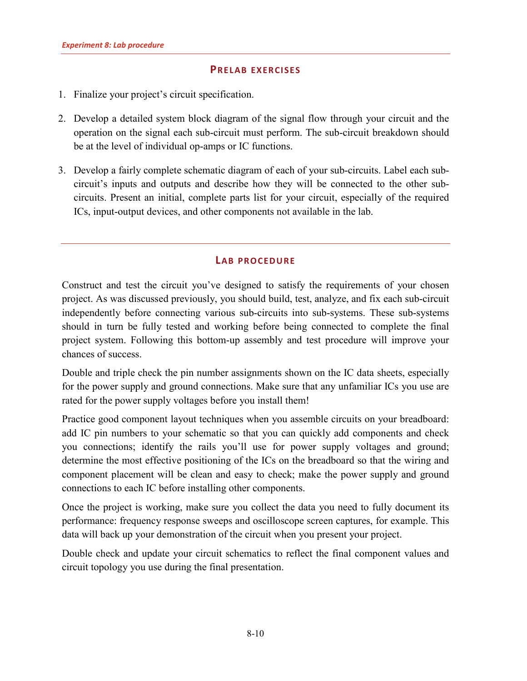#### **PRELAB EXERCISES**

- <span id="page-11-0"></span>1. Finalize your project's circuit specification.
- 2. Develop a detailed system block diagram of the signal flow through your circuit and the operation on the signal each sub-circuit must perform. The sub-circuit breakdown should be at the level of individual op-amps or IC functions.
- 3. Develop a fairly complete schematic diagram of each of your sub-circuits. Label each subcircuit's inputs and outputs and describe how they will be connected to the other subcircuits. Present an initial, complete parts list for your circuit, especially of the required ICs, input-output devices, and other components not available in the lab.

#### **LAB PROCEDURE**

<span id="page-11-1"></span>Construct and test the circuit you've designed to satisfy the requirements of your chosen project. As was discussed previously, you should build, test, analyze, and fix each sub-circuit independently before connecting various sub-circuits into sub-systems. These sub-systems should in turn be fully tested and working before being connected to complete the final project system. Following this bottom-up assembly and test procedure will improve your chances of success.

Double and triple check the pin number assignments shown on the IC data sheets, especially for the power supply and ground connections. Make sure that any unfamiliar ICs you use are rated for the power supply voltages before you install them!

Practice good component layout techniques when you assemble circuits on your breadboard: add IC pin numbers to your schematic so that you can quickly add components and check you connections; identify the rails you'll use for power supply voltages and ground; determine the most effective positioning of the ICs on the breadboard so that the wiring and component placement will be clean and easy to check; make the power supply and ground connections to each IC before installing other components.

Once the project is working, make sure you collect the data you need to fully document its performance: frequency response sweeps and oscilloscope screen captures, for example. This data will back up your demonstration of the circuit when you present your project.

Double check and update your circuit schematics to reflect the final component values and circuit topology you use during the final presentation.